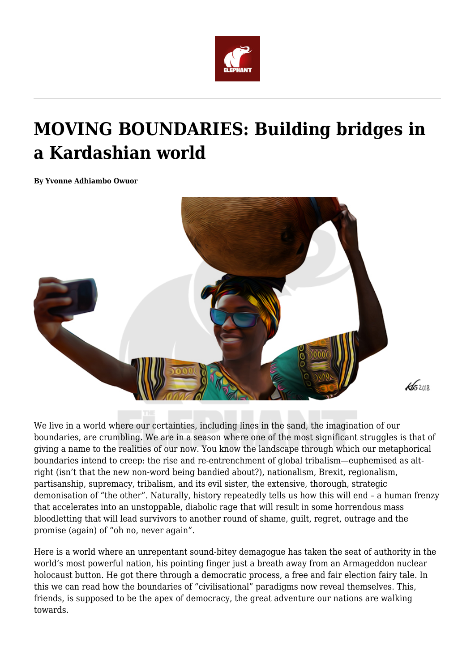

## **MOVING BOUNDARIES: Building bridges in a Kardashian world**

**By Yvonne Adhiambo Owuor**



We live in a world where our certainties, including lines in the sand, the imagination of our boundaries, are crumbling. We are in a season where one of the most significant struggles is that of giving a name to the realities of our now. You know the landscape through which our metaphorical boundaries intend to creep: the rise and re-entrenchment of global tribalism—euphemised as altright (isn't that the new non-word being bandied about?), nationalism, Brexit, regionalism, partisanship, supremacy, tribalism, and its evil sister, the extensive, thorough, strategic demonisation of "the other". Naturally, history repeatedly tells us how this will end – a human frenzy that accelerates into an unstoppable, diabolic rage that will result in some horrendous mass bloodletting that will lead survivors to another round of shame, guilt, regret, outrage and the promise (again) of "oh no, never again".

Here is a world where an unrepentant sound-bitey demagogue has taken the seat of authority in the world's most powerful nation, his pointing finger just a breath away from an Armageddon nuclear holocaust button. He got there through a democratic process, a free and fair election fairy tale. In this we can read how the boundaries of "civilisational" paradigms now reveal themselves. This, friends, is supposed to be the apex of democracy, the great adventure our nations are walking towards.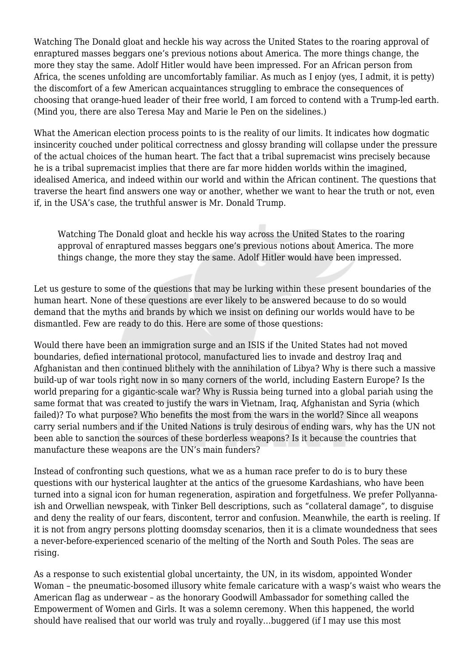Watching The Donald gloat and heckle his way across the United States to the roaring approval of enraptured masses beggars one's previous notions about America. The more things change, the more they stay the same. Adolf Hitler would have been impressed. For an African person from Africa, the scenes unfolding are uncomfortably familiar. As much as I enjoy (yes, I admit, it is petty) the discomfort of a few American acquaintances struggling to embrace the consequences of choosing that orange-hued leader of their free world, I am forced to contend with a Trump-led earth. (Mind you, there are also Teresa May and Marie le Pen on the sidelines.)

What the American election process points to is the reality of our limits. It indicates how dogmatic insincerity couched under political correctness and glossy branding will collapse under the pressure of the actual choices of the human heart. The fact that a tribal supremacist wins precisely because he is a tribal supremacist implies that there are far more hidden worlds within the imagined, idealised America, and indeed within our world and within the African continent. The questions that traverse the heart find answers one way or another, whether we want to hear the truth or not, even if, in the USA's case, the truthful answer is Mr. Donald Trump.

Watching The Donald gloat and heckle his way across the United States to the roaring approval of enraptured masses beggars one's previous notions about America. The more things change, the more they stay the same. Adolf Hitler would have been impressed.

Let us gesture to some of the questions that may be lurking within these present boundaries of the human heart. None of these questions are ever likely to be answered because to do so would demand that the myths and brands by which we insist on defining our worlds would have to be dismantled. Few are ready to do this. Here are some of those questions:

Would there have been an immigration surge and an ISIS if the United States had not moved boundaries, defied international protocol, manufactured lies to invade and destroy Iraq and Afghanistan and then continued blithely with the annihilation of Libya? Why is there such a massive build-up of war tools right now in so many corners of the world, including Eastern Europe? Is the world preparing for a gigantic-scale war? Why is Russia being turned into a global pariah using the same format that was created to justify the wars in Vietnam, Iraq, Afghanistan and Syria (which failed)? To what purpose? Who benefits the most from the wars in the world? Since all weapons carry serial numbers and if the United Nations is truly desirous of ending wars, why has the UN not been able to sanction the sources of these borderless weapons? Is it because the countries that manufacture these weapons are the UN's main funders?

Instead of confronting such questions, what we as a human race prefer to do is to bury these questions with our hysterical laughter at the antics of the gruesome Kardashians, who have been turned into a signal icon for human regeneration, aspiration and forgetfulness. We prefer Pollyannaish and Orwellian newspeak, with Tinker Bell descriptions, such as "collateral damage", to disguise and deny the reality of our fears, discontent, terror and confusion. Meanwhile, the earth is reeling. If it is not from angry persons plotting doomsday scenarios, then it is a climate woundedness that sees a never-before-experienced scenario of the melting of the North and South Poles. The seas are rising.

As a response to such existential global uncertainty, the UN, in its wisdom, appointed Wonder Woman – the pneumatic-bosomed illusory white female caricature with a wasp's waist who wears the American flag as underwear – as the honorary Goodwill Ambassador for something called the Empowerment of Women and Girls. It was a solemn ceremony. When this happened, the world should have realised that our world was truly and royally…buggered (if I may use this most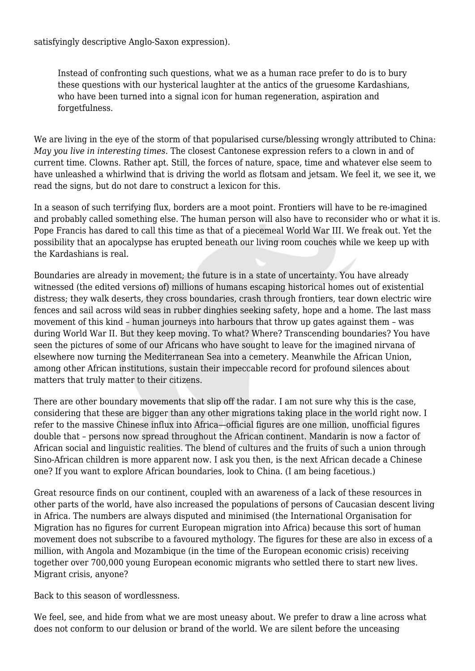satisfyingly descriptive Anglo-Saxon expression).

Instead of confronting such questions, what we as a human race prefer to do is to bury these questions with our hysterical laughter at the antics of the gruesome Kardashians, who have been turned into a signal icon for human regeneration, aspiration and forgetfulness.

We are living in the eye of the storm of that popularised curse/blessing wrongly attributed to China: *May you live in interesting times*. The closest Cantonese expression refers to a clown in and of current time. Clowns. Rather apt. Still, the forces of nature, space, time and whatever else seem to have unleashed a whirlwind that is driving the world as flotsam and jetsam. We feel it, we see it, we read the signs, but do not dare to construct a lexicon for this.

In a season of such terrifying flux, borders are a moot point. Frontiers will have to be re-imagined and probably called something else. The human person will also have to reconsider who or what it is. Pope Francis has dared to call this time as that of a piecemeal World War III. We freak out. Yet the possibility that an apocalypse has erupted beneath our living room couches while we keep up with the Kardashians is real.

Boundaries are already in movement; the future is in a state of uncertainty. You have already witnessed (the edited versions of) millions of humans escaping historical homes out of existential distress; they walk deserts, they cross boundaries, crash through frontiers, tear down electric wire fences and sail across wild seas in rubber dinghies seeking safety, hope and a home. The last mass movement of this kind – human journeys into harbours that throw up gates against them – was during World War II. But they keep moving. To what? Where? Transcending boundaries? You have seen the pictures of some of our Africans who have sought to leave for the imagined nirvana of elsewhere now turning the Mediterranean Sea into a cemetery. Meanwhile the African Union, among other African institutions, sustain their impeccable record for profound silences about matters that truly matter to their citizens.

There are other boundary movements that slip off the radar. I am not sure why this is the case, considering that these are bigger than any other migrations taking place in the world right now. I refer to the massive Chinese influx into Africa—official figures are one million, unofficial figures double that – persons now spread throughout the African continent. Mandarin is now a factor of African social and linguistic realities. The blend of cultures and the fruits of such a union through Sino-African children is more apparent now. I ask you then, is the next African decade a Chinese one? If you want to explore African boundaries, look to China. (I am being facetious.)

Great resource finds on our continent, coupled with an awareness of a lack of these resources in other parts of the world, have also increased the populations of persons of Caucasian descent living in Africa. The numbers are always disputed and minimised (the International Organisation for Migration has no figures for current European migration into Africa) because this sort of human movement does not subscribe to a favoured mythology. The figures for these are also in excess of a million, with Angola and Mozambique (in the time of the European economic crisis) receiving together over 700,000 young European economic migrants who settled there to start new lives. Migrant crisis, anyone?

Back to this season of wordlessness.

We feel, see, and hide from what we are most uneasy about. We prefer to draw a line across what does not conform to our delusion or brand of the world. We are silent before the unceasing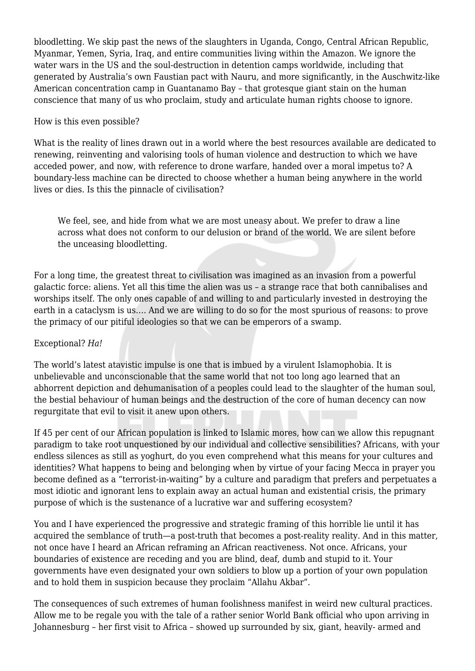bloodletting. We skip past the news of the slaughters in Uganda, Congo, Central African Republic, Myanmar, Yemen, Syria, Iraq, and entire communities living within the Amazon. We ignore the water wars in the US and the soul-destruction in detention camps worldwide, including that generated by Australia's own Faustian pact with Nauru, and more significantly, in the Auschwitz-like American concentration camp in Guantanamo Bay – that grotesque giant stain on the human conscience that many of us who proclaim, study and articulate human rights choose to ignore.

## How is this even possible?

What is the reality of lines drawn out in a world where the best resources available are dedicated to renewing, reinventing and valorising tools of human violence and destruction to which we have acceded power, and now, with reference to drone warfare, handed over a moral impetus to? A boundary-less machine can be directed to choose whether a human being anywhere in the world lives or dies. Is this the pinnacle of civilisation?

We feel, see, and hide from what we are most uneasy about. We prefer to draw a line across what does not conform to our delusion or brand of the world. We are silent before the unceasing bloodletting.

For a long time, the greatest threat to civilisation was imagined as an invasion from a powerful galactic force: aliens. Yet all this time the alien was us – a strange race that both cannibalises and worships itself. The only ones capable of and willing to and particularly invested in destroying the earth in a cataclysm is us…. And we are willing to do so for the most spurious of reasons: to prove the primacy of our pitiful ideologies so that we can be emperors of a swamp.

## Exceptional? *Ha!*

The world's latest atavistic impulse is one that is imbued by a virulent Islamophobia. It is unbelievable and unconscionable that the same world that not too long ago learned that an abhorrent depiction and dehumanisation of a peoples could lead to the slaughter of the human soul, the bestial behaviour of human beings and the destruction of the core of human decency can now regurgitate that evil to visit it anew upon others.

If 45 per cent of our African population is linked to Islamic mores, how can we allow this repugnant paradigm to take root unquestioned by our individual and collective sensibilities? Africans, with your endless silences as still as yoghurt, do you even comprehend what this means for your cultures and identities? What happens to being and belonging when by virtue of your facing Mecca in prayer you become defined as a "terrorist-in-waiting" by a culture and paradigm that prefers and perpetuates a most idiotic and ignorant lens to explain away an actual human and existential crisis, the primary purpose of which is the sustenance of a lucrative war and suffering ecosystem?

You and I have experienced the progressive and strategic framing of this horrible lie until it has acquired the semblance of truth—a post-truth that becomes a post-reality reality. And in this matter, not once have I heard an African reframing an African reactiveness. Not once. Africans, your boundaries of existence are receding and you are blind, deaf, dumb and stupid to it. Your governments have even designated your own soldiers to blow up a portion of your own population and to hold them in suspicion because they proclaim "Allahu Akbar".

The consequences of such extremes of human foolishness manifest in weird new cultural practices. Allow me to be regale you with the tale of a rather senior World Bank official who upon arriving in Johannesburg – her first visit to Africa – showed up surrounded by six, giant, heavily- armed and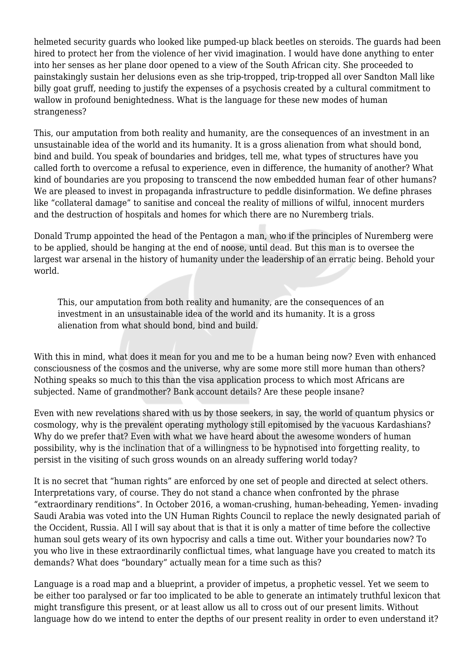helmeted security guards who looked like pumped-up black beetles on steroids. The guards had been hired to protect her from the violence of her vivid imagination. I would have done anything to enter into her senses as her plane door opened to a view of the South African city. She proceeded to painstakingly sustain her delusions even as she trip-tropped, trip-tropped all over Sandton Mall like billy goat gruff, needing to justify the expenses of a psychosis created by a cultural commitment to wallow in profound benightedness. What is the language for these new modes of human strangeness?

This, our amputation from both reality and humanity, are the consequences of an investment in an unsustainable idea of the world and its humanity. It is a gross alienation from what should bond, bind and build. You speak of boundaries and bridges, tell me, what types of structures have you called forth to overcome a refusal to experience, even in difference, the humanity of another? What kind of boundaries are you proposing to transcend the now embedded human fear of other humans? We are pleased to invest in propaganda infrastructure to peddle disinformation. We define phrases like "collateral damage" to sanitise and conceal the reality of millions of wilful, innocent murders and the destruction of hospitals and homes for which there are no Nuremberg trials.

Donald Trump appointed the head of the Pentagon a man, who if the principles of Nuremberg were to be applied, should be hanging at the end of noose, until dead. But this man is to oversee the largest war arsenal in the history of humanity under the leadership of an erratic being. Behold your world.

This, our amputation from both reality and humanity, are the consequences of an investment in an unsustainable idea of the world and its humanity. It is a gross alienation from what should bond, bind and build.

With this in mind, what does it mean for you and me to be a human being now? Even with enhanced consciousness of the cosmos and the universe, why are some more still more human than others? Nothing speaks so much to this than the visa application process to which most Africans are subjected. Name of grandmother? Bank account details? Are these people insane?

Even with new revelations shared with us by those seekers, in say, the world of quantum physics or cosmology, why is the prevalent operating mythology still epitomised by the vacuous Kardashians? Why do we prefer that? Even with what we have heard about the awesome wonders of human possibility, why is the inclination that of a willingness to be hypnotised into forgetting reality, to persist in the visiting of such gross wounds on an already suffering world today?

It is no secret that "human rights" are enforced by one set of people and directed at select others. Interpretations vary, of course. They do not stand a chance when confronted by the phrase "extraordinary renditions". In October 2016, a woman-crushing, human-beheading, Yemen- invading Saudi Arabia was voted into the UN Human Rights Council to replace the newly designated pariah of the Occident, Russia. All I will say about that is that it is only a matter of time before the collective human soul gets weary of its own hypocrisy and calls a time out. Wither your boundaries now? To you who live in these extraordinarily conflictual times, what language have you created to match its demands? What does "boundary" actually mean for a time such as this?

Language is a road map and a blueprint, a provider of impetus, a prophetic vessel. Yet we seem to be either too paralysed or far too implicated to be able to generate an intimately truthful lexicon that might transfigure this present, or at least allow us all to cross out of our present limits. Without language how do we intend to enter the depths of our present reality in order to even understand it?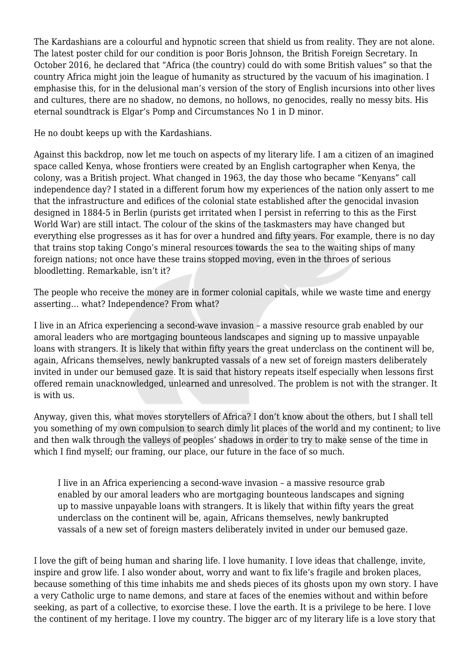The Kardashians are a colourful and hypnotic screen that shield us from reality. They are not alone. The latest poster child for our condition is poor Boris Johnson, the British Foreign Secretary. In October 2016, he declared that "Africa (the country) could do with some British values" so that the country Africa might join the league of humanity as structured by the vacuum of his imagination. I emphasise this, for in the delusional man's version of the story of English incursions into other lives and cultures, there are no shadow, no demons, no hollows, no genocides, really no messy bits. His eternal soundtrack is Elgar's Pomp and Circumstances No 1 in D minor.

He no doubt keeps up with the Kardashians.

Against this backdrop, now let me touch on aspects of my literary life. I am a citizen of an imagined space called Kenya, whose frontiers were created by an English cartographer when Kenya, the colony, was a British project. What changed in 1963, the day those who became "Kenyans" call independence day? I stated in a different forum how my experiences of the nation only assert to me that the infrastructure and edifices of the colonial state established after the genocidal invasion designed in 1884-5 in Berlin (purists get irritated when I persist in referring to this as the First World War) are still intact. The colour of the skins of the taskmasters may have changed but everything else progresses as it has for over a hundred and fifty years. For example, there is no day that trains stop taking Congo's mineral resources towards the sea to the waiting ships of many foreign nations; not once have these trains stopped moving, even in the throes of serious bloodletting. Remarkable, isn't it?

The people who receive the money are in former colonial capitals, while we waste time and energy asserting… what? Independence? From what?

I live in an Africa experiencing a second-wave invasion – a massive resource grab enabled by our amoral leaders who are mortgaging bounteous landscapes and signing up to massive unpayable loans with strangers. It is likely that within fifty years the great underclass on the continent will be, again, Africans themselves, newly bankrupted vassals of a new set of foreign masters deliberately invited in under our bemused gaze. It is said that history repeats itself especially when lessons first offered remain unacknowledged, unlearned and unresolved. The problem is not with the stranger. It is with us.

Anyway, given this, what moves storytellers of Africa? I don't know about the others, but I shall tell you something of my own compulsion to search dimly lit places of the world and my continent; to live and then walk through the valleys of peoples' shadows in order to try to make sense of the time in which I find myself; our framing, our place, our future in the face of so much.

I live in an Africa experiencing a second-wave invasion – a massive resource grab enabled by our amoral leaders who are mortgaging bounteous landscapes and signing up to massive unpayable loans with strangers. It is likely that within fifty years the great underclass on the continent will be, again, Africans themselves, newly bankrupted vassals of a new set of foreign masters deliberately invited in under our bemused gaze.

I love the gift of being human and sharing life. I love humanity. I love ideas that challenge, invite, inspire and grow life. I also wonder about, worry and want to fix life's fragile and broken places, because something of this time inhabits me and sheds pieces of its ghosts upon my own story. I have a very Catholic urge to name demons, and stare at faces of the enemies without and within before seeking, as part of a collective, to exorcise these. I love the earth. It is a privilege to be here. I love the continent of my heritage. I love my country. The bigger arc of my literary life is a love story that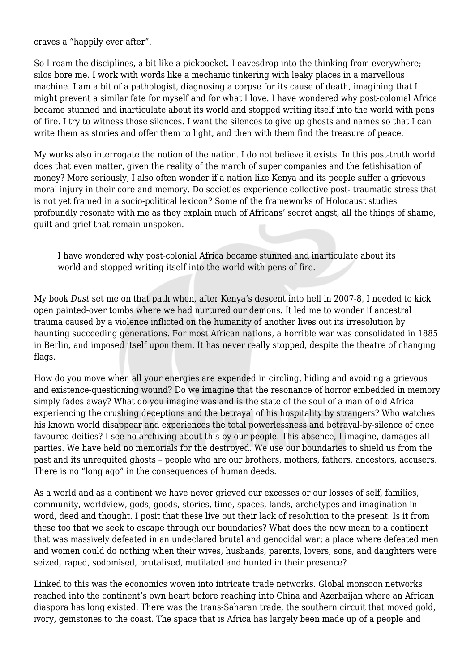craves a "happily ever after".

So I roam the disciplines, a bit like a pickpocket. I eavesdrop into the thinking from everywhere; silos bore me. I work with words like a mechanic tinkering with leaky places in a marvellous machine. I am a bit of a pathologist, diagnosing a corpse for its cause of death, imagining that I might prevent a similar fate for myself and for what I love. I have wondered why post-colonial Africa became stunned and inarticulate about its world and stopped writing itself into the world with pens of fire. I try to witness those silences. I want the silences to give up ghosts and names so that I can write them as stories and offer them to light, and then with them find the treasure of peace.

My works also interrogate the notion of the nation. I do not believe it exists. In this post-truth world does that even matter, given the reality of the march of super companies and the fetishisation of money? More seriously, I also often wonder if a nation like Kenya and its people suffer a grievous moral injury in their core and memory. Do societies experience collective post- traumatic stress that is not yet framed in a socio-political lexicon? Some of the frameworks of Holocaust studies profoundly resonate with me as they explain much of Africans' secret angst, all the things of shame, guilt and grief that remain unspoken.

I have wondered why post-colonial Africa became stunned and inarticulate about its world and stopped writing itself into the world with pens of fire.

My book *Dust* set me on that path when, after Kenya's descent into hell in 2007-8, I needed to kick open painted-over tombs where we had nurtured our demons. It led me to wonder if ancestral trauma caused by a violence inflicted on the humanity of another lives out its irresolution by haunting succeeding generations. For most African nations, a horrible war was consolidated in 1885 in Berlin, and imposed itself upon them. It has never really stopped, despite the theatre of changing flags.

How do you move when all your energies are expended in circling, hiding and avoiding a grievous and existence-questioning wound? Do we imagine that the resonance of horror embedded in memory simply fades away? What do you imagine was and is the state of the soul of a man of old Africa experiencing the crushing deceptions and the betrayal of his hospitality by strangers? Who watches his known world disappear and experiences the total powerlessness and betrayal-by-silence of once favoured deities? I see no archiving about this by our people. This absence, I imagine, damages all parties. We have held no memorials for the destroyed. We use our boundaries to shield us from the past and its unrequited ghosts – people who are our brothers, mothers, fathers, ancestors, accusers. There is no "long ago" in the consequences of human deeds.

As a world and as a continent we have never grieved our excesses or our losses of self, families, community, worldview, gods, goods, stories, time, spaces, lands, archetypes and imagination in word, deed and thought. I posit that these live out their lack of resolution to the present. Is it from these too that we seek to escape through our boundaries? What does the now mean to a continent that was massively defeated in an undeclared brutal and genocidal war; a place where defeated men and women could do nothing when their wives, husbands, parents, lovers, sons, and daughters were seized, raped, sodomised, brutalised, mutilated and hunted in their presence?

Linked to this was the economics woven into intricate trade networks. Global monsoon networks reached into the continent's own heart before reaching into China and Azerbaijan where an African diaspora has long existed. There was the trans-Saharan trade, the southern circuit that moved gold, ivory, gemstones to the coast. The space that is Africa has largely been made up of a people and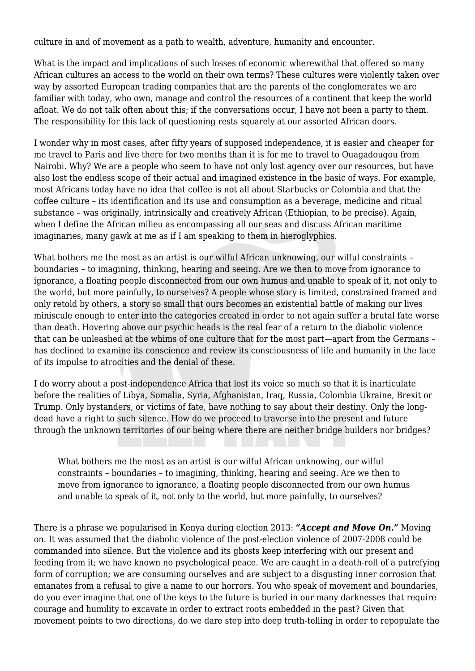culture in and of movement as a path to wealth, adventure, humanity and encounter.

What is the impact and implications of such losses of economic wherewithal that offered so many African cultures an access to the world on their own terms? These cultures were violently taken over way by assorted European trading companies that are the parents of the conglomerates we are familiar with today, who own, manage and control the resources of a continent that keep the world afloat. We do not talk often about this; if the conversations occur, I have not been a party to them. The responsibility for this lack of questioning rests squarely at our assorted African doors.

I wonder why in most cases, after fifty years of supposed independence, it is easier and cheaper for me travel to Paris and live there for two months than it is for me to travel to Ouagadougou from Nairobi. Why? We are a people who seem to have not only lost agency over our resources, but have also lost the endless scope of their actual and imagined existence in the basic of ways. For example, most Africans today have no idea that coffee is not all about Starbucks or Colombia and that the coffee culture – its identification and its use and consumption as a beverage, medicine and ritual substance – was originally, intrinsically and creatively African (Ethiopian, to be precise). Again, when I define the African milieu as encompassing all our seas and discuss African maritime imaginaries, many gawk at me as if I am speaking to them in hieroglyphics.

What bothers me the most as an artist is our wilful African unknowing, our wilful constraints boundaries – to imagining, thinking, hearing and seeing. Are we then to move from ignorance to ignorance, a floating people disconnected from our own humus and unable to speak of it, not only to the world, but more painfully, to ourselves? A people whose story is limited, constrained framed and only retold by others, a story so small that ours becomes an existential battle of making our lives miniscule enough to enter into the categories created in order to not again suffer a brutal fate worse than death. Hovering above our psychic heads is the real fear of a return to the diabolic violence that can be unleashed at the whims of one culture that for the most part—apart from the Germans – has declined to examine its conscience and review its consciousness of life and humanity in the face of its impulse to atrocities and the denial of these.

I do worry about a post-independence Africa that lost its voice so much so that it is inarticulate before the realities of Libya, Somalia, Syria, Afghanistan, Iraq, Russia, Colombia Ukraine, Brexit or Trump. Only bystanders, or victims of fate, have nothing to say about their destiny. Only the longdead have a right to such silence. How do we proceed to traverse into the present and future through the unknown territories of our being where there are neither bridge builders nor bridges?

What bothers me the most as an artist is our wilful African unknowing, our wilful constraints – boundaries – to imagining, thinking, hearing and seeing. Are we then to move from ignorance to ignorance, a floating people disconnected from our own humus and unable to speak of it, not only to the world, but more painfully, to ourselves?

There is a phrase we popularised in Kenya during election 2013: *"Accept and Move On."* Moving on. It was assumed that the diabolic violence of the post-election violence of 2007-2008 could be commanded into silence. But the violence and its ghosts keep interfering with our present and feeding from it; we have known no psychological peace. We are caught in a death-roll of a putrefying form of corruption; we are consuming ourselves and are subject to a disgusting inner corrosion that emanates from a refusal to give a name to our horrors. You who speak of movement and boundaries, do you ever imagine that one of the keys to the future is buried in our many darknesses that require courage and humility to excavate in order to extract roots embedded in the past? Given that movement points to two directions, do we dare step into deep truth-telling in order to repopulate the